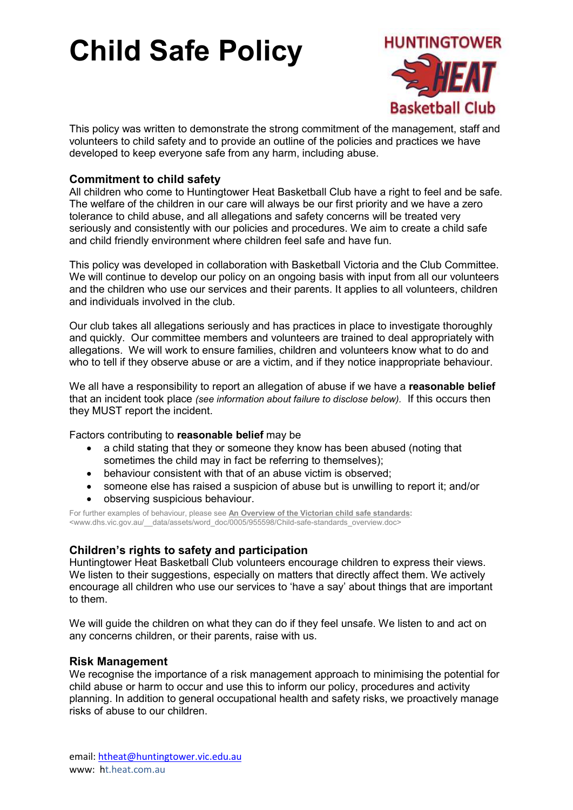

This policy was written to demonstrate the strong commitment of the management, staff and volunteers to child safety and to provide an outline of the policies and practices we have developed to keep everyone safe from any harm, including abuse.

## Commitment to child safety

All children who come to Huntingtower Heat Basketball Club have a right to feel and be safe. The welfare of the children in our care will always be our first priority and we have a zero tolerance to child abuse, and all allegations and safety concerns will be treated very seriously and consistently with our policies and procedures. We aim to create a child safe and child friendly environment where children feel safe and have fun.

This policy was developed in collaboration with Basketball Victoria and the Club Committee. We will continue to develop our policy on an ongoing basis with input from all our volunteers and the children who use our services and their parents. It applies to all volunteers, children and individuals involved in the club.

Our club takes all allegations seriously and has practices in place to investigate thoroughly and quickly. Our committee members and volunteers are trained to deal appropriately with allegations. We will work to ensure families, children and volunteers know what to do and who to tell if they observe abuse or are a victim, and if they notice inappropriate behaviour.

We all have a responsibility to report an allegation of abuse if we have a reasonable belief that an incident took place (see information about failure to disclose below). If this occurs then they MUST report the incident.

Factors contributing to reasonable belief may be

- a child stating that they or someone they know has been abused (noting that sometimes the child may in fact be referring to themselves);
- behaviour consistent with that of an abuse victim is observed;
- someone else has raised a suspicion of abuse but is unwilling to report it; and/or
- observing suspicious behaviour.

For further examples of behaviour, please see An Overview of the Victorian child safe standards: <www.dhs.vic.gov.au/\_\_data/assets/word\_doc/0005/955598/Child-safe-standards\_overview.doc>

## Children's rights to safety and participation

Huntingtower Heat Basketball Club volunteers encourage children to express their views. We listen to their suggestions, especially on matters that directly affect them. We actively encourage all children who use our services to 'have a say' about things that are important to them.

We will guide the children on what they can do if they feel unsafe. We listen to and act on any concerns children, or their parents, raise with us.

### Risk Management

We recognise the importance of a risk management approach to minimising the potential for child abuse or harm to occur and use this to inform our policy, procedures and activity planning. In addition to general occupational health and safety risks, we proactively manage risks of abuse to our children.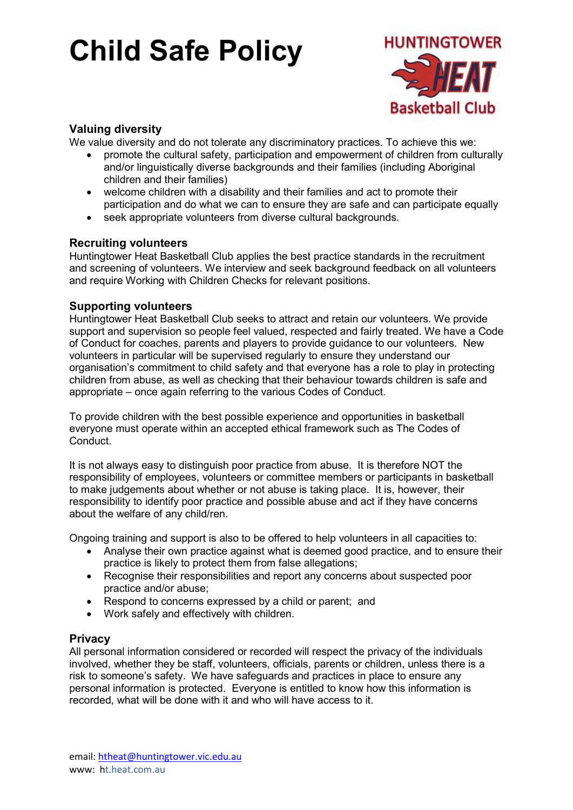

## Valuing diversity

We value diversity and do not tolerate any discriminatory practices. To achieve this we:

- promote the cultural safety, participation and empowerment of children from culturally and/or linguistically diverse backgrounds and their families (including Aboriginal children and their families)
- welcome children with a disability and their families and act to promote their participation and do what we can to ensure they are safe and can participate equally
- seek appropriate volunteers from diverse cultural backgrounds.

## Recruiting volunteers

Huntingtower Heat Basketball Club applies the best practice standards in the recruitment and screening of volunteers. We interview and seek background feedback on all volunteers and require Working with Children Checks for relevant positions.

### Supporting volunteers

Huntingtower Heat Basketball Club seeks to attract and retain our volunteers. We provide support and supervision so people feel valued, respected and fairly treated. We have a Code of Conduct for coaches, parents and players to provide guidance to our volunteers. New volunteers in particular will be supervised regularly to ensure they understand our organisation's commitment to child safety and that everyone has a role to play in protecting children from abuse, as well as checking that their behaviour towards children is safe and appropriate – once again referring to the various Codes of Conduct.

To provide children with the best possible experience and opportunities in basketball everyone must operate within an accepted ethical framework such as The Codes of **Conduct** 

It is not always easy to distinguish poor practice from abuse. It is therefore NOT the responsibility of employees, volunteers or committee members or participants in basketball to make judgements about whether or not abuse is taking place. It is, however, their responsibility to identify poor practice and possible abuse and act if they have concerns about the welfare of any child/ren.

Ongoing training and support is also to be offered to help volunteers in all capacities to:

- Analyse their own practice against what is deemed good practice, and to ensure their practice is likely to protect them from false allegations;
- Recognise their responsibilities and report any concerns about suspected poor practice and/or abuse;
- Respond to concerns expressed by a child or parent; and
- Work safely and effectively with children.

### **Privacy**

All personal information considered or recorded will respect the privacy of the individuals involved, whether they be staff, volunteers, officials, parents or children, unless there is a risk to someone's safety. We have safeguards and practices in place to ensure any personal information is protected. Everyone is entitled to know how this information is recorded, what will be done with it and who will have access to it.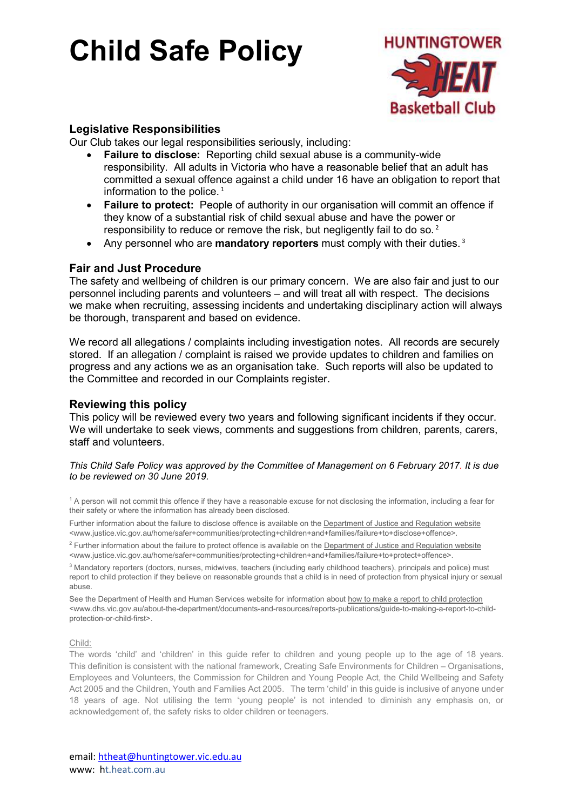

## Legislative Responsibilities

Our Club takes our legal responsibilities seriously, including:

- Failure to disclose: Reporting child sexual abuse is a community-wide responsibility. All adults in Victoria who have a reasonable belief that an adult has committed a sexual offence against a child under 16 have an obligation to report that information to the police.  $1$
- Failure to protect: People of authority in our organisation will commit an offence if they know of a substantial risk of child sexual abuse and have the power or responsibility to reduce or remove the risk, but negligently fail to do so.<sup>2</sup>
- Any personnel who are **mandatory reporters** must comply with their duties.<sup>3</sup>

### Fair and Just Procedure

The safety and wellbeing of children is our primary concern. We are also fair and just to our personnel including parents and volunteers – and will treat all with respect. The decisions we make when recruiting, assessing incidents and undertaking disciplinary action will always be thorough, transparent and based on evidence.

We record all allegations / complaints including investigation notes. All records are securely stored. If an allegation / complaint is raised we provide updates to children and families on progress and any actions we as an organisation take. Such reports will also be updated to the Committee and recorded in our Complaints register.

#### Reviewing this policy

This policy will be reviewed every two years and following significant incidents if they occur. We will undertake to seek views, comments and suggestions from children, parents, carers, staff and volunteers.

#### This Child Safe Policy was approved by the Committee of Management on 6 February 2017. It is due to be reviewed on 30 June 2019.

<sup>1</sup> A person will not commit this offence if they have a reasonable excuse for not disclosing the information, including a fear for their safety or where the information has already been disclosed.

Further information about the failure to disclose offence is available on the Department of Justice and Regulation website <www.justice.vic.gov.au/home/safer+communities/protecting+children+and+families/failure+to+disclose+offence>.

<sup>2</sup> Further information about the failure to protect offence is available on the Department of Justice and Regulation website <www.justice.vic.gov.au/home/safer+communities/protecting+children+and+families/failure+to+protect+offence>.

<sup>3</sup> Mandatory reporters (doctors, nurses, midwives, teachers (including early childhood teachers), principals and police) must report to child protection if they believe on reasonable grounds that a child is in need of protection from physical injury or sexual abuse.

See the Department of Health and Human Services website for information about how to make a report to child protection <www.dhs.vic.gov.au/about-the-department/documents-and-resources/reports-publications/guide-to-making-a-report-to-childprotection-or-child-first>.

#### Child:

The words 'child' and 'children' in this guide refer to children and young people up to the age of 18 years. This definition is consistent with the national framework, Creating Safe Environments for Children – Organisations, Employees and Volunteers, the Commission for Children and Young People Act, the Child Wellbeing and Safety Act 2005 and the Children, Youth and Families Act 2005. The term 'child' in this guide is inclusive of anyone under 18 years of age. Not utilising the term 'young people' is not intended to diminish any emphasis on, or acknowledgement of, the safety risks to older children or teenagers.